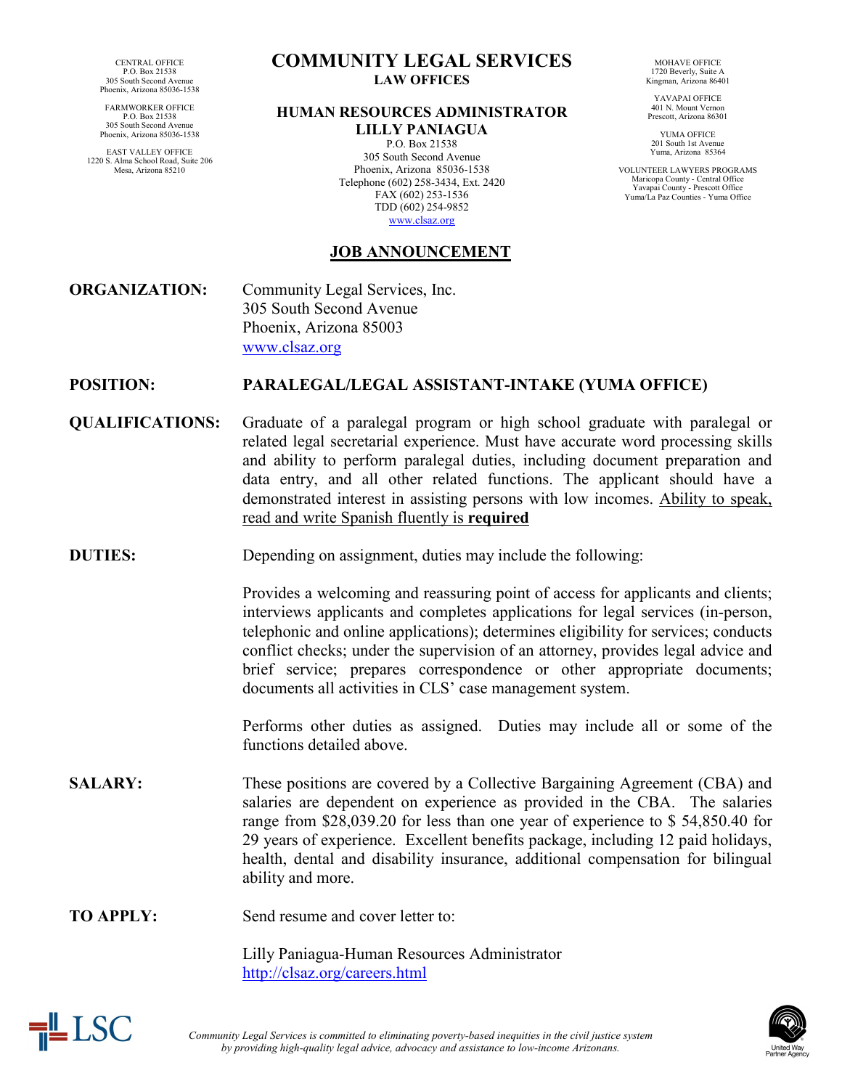CENTRAL OFFICE P.O. Box 21538 305 South Second Avenue Phoenix, Arizona 85036-1538

FARMWORKER OFFICE P.O. Box 21538 305 South Second Avenue Phoenix, Arizona 85036-1538

EAST VALLEY OFFICE 1220 S. Alma School Road, Suite 206 Mesa, Arizona 85210

## **COMMUNITY LEGAL SERVICES LAW OFFICES**

**HUMAN RESOURCES ADMINISTRATOR LILLY PANIAGUA** 

P.O. Box 21538 305 South Second Avenue Phoenix, Arizona 85036-1538 Telephone (602) 258-3434, Ext. 2420 FAX (602) 253-1536 TDD (602) 254-9852 [www.clsaz.org](http://www.clsaz.org/)

## **JOB ANNOUNCEMENT**

**ORGANIZATION:** Community Legal Services, Inc. 305 South Second Avenue Phoenix, Arizona 85003 [www.clsaz.org](http://www.clsaz.org/)

## **POSITION: PARALEGAL/LEGAL ASSISTANT-INTAKE (YUMA OFFICE)**

- **QUALIFICATIONS:** Graduate of a paralegal program or high school graduate with paralegal or related legal secretarial experience. Must have accurate word processing skills and ability to perform paralegal duties, including document preparation and data entry, and all other related functions. The applicant should have a demonstrated interest in assisting persons with low incomes. Ability to speak, read and write Spanish fluently is **required**
- **DUTIES:** Depending on assignment, duties may include the following:

Provides a welcoming and reassuring point of access for applicants and clients; interviews applicants and completes applications for legal services (in-person, telephonic and online applications); determines eligibility for services; conducts conflict checks; under the supervision of an attorney, provides legal advice and brief service; prepares correspondence or other appropriate documents; documents all activities in CLS' case management system.

Performs other duties as assigned. Duties may include all or some of the functions detailed above.

- **SALARY:** These positions are covered by a Collective Bargaining Agreement (CBA) and salaries are dependent on experience as provided in the CBA. The salaries range from \$28,039.20 for less than one year of experience to \$ 54,850.40 for 29 years of experience. Excellent benefits package, including 12 paid holidays, health, dental and disability insurance, additional compensation for bilingual ability and more.
- **TO APPLY:** Send resume and cover letter to:

Lilly Paniagua-Human Resources Administrator <http://clsaz.org/careers.html>

*Community Legal Services is committed to eliminating poverty-based inequities in the civil justice system by providing high-quality legal advice, advocacy and assistance to low-income Arizonans.*





YAVAPAI OFFICE 401 N. Mount Vernon Prescott, Arizona 86301

YUMA OFFICE 201 South 1st Avenue Yuma, Arizona 85364

VOLUNTEER LAWYERS PROGRAMS Maricopa County - Central Office Yavapai County - Prescott Office Yuma/La Paz Counties - Yuma Office